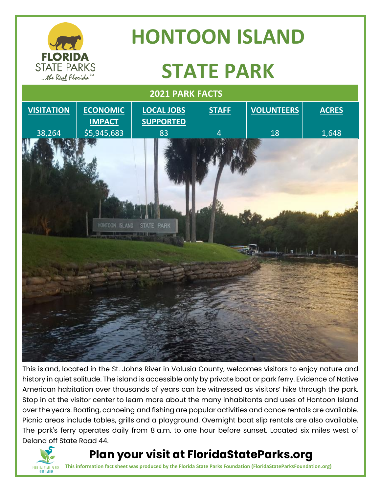

This island, located in the St. Johns River in Volusia County, welcomes visitors to enjoy nature and history in quiet solitude. The island is accessible only by private boat or park ferry. Evidence of Native American habitation over thousands of years can be witnessed as visitors' hike through the park. Stop in at the visitor center to learn more about the many inhabitants and uses of Hontoon Island over the years. Boating, canoeing and fishing are popular activities and canoe rentals are available. Picnic areas include tables, grills and a playground. Overnight boat slip rentals are also available. The park's ferry operates daily from 8 a.m. to one hour before sunset. Located six miles west of Deland off State Road 44.

#### **Plan your visit at FloridaStateParks.org**



**TLORIDA STATE PARKS** This information fact sheet was produced by the Florida State Parks Foundation (FloridaStateParksFoundation.org)